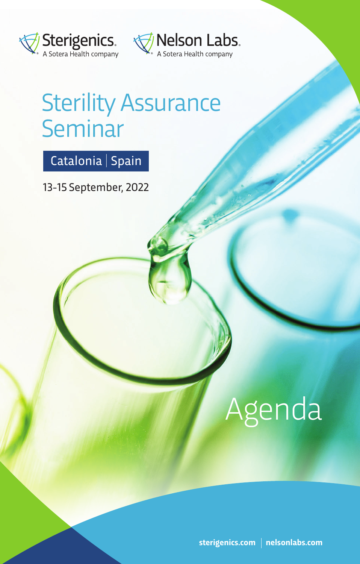



## Sterility Assurance **Seminar**

## Catalonia | Spain

13-15 September, 2022

# Agenda

**sterigenics.com nelsonlabs.com**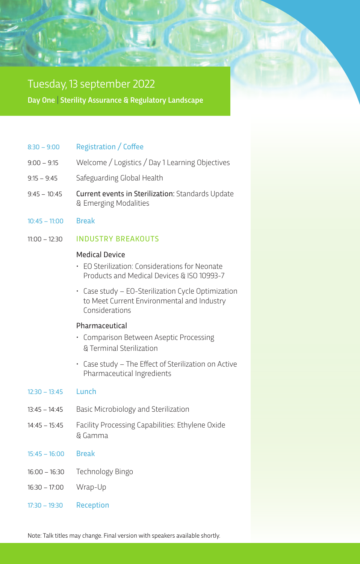#### Tuesday, 13 september 2022

Day One | Sterility Assurance & Regulatory Landscape

#### $8:30 - 9:00$  Registration / Coffee

- 9:00 9:15 Welcome / Logistics / Day 1 Learning Objectives
- 9:15 9:45 Safeguarding Global Health
- 9:45 10:45 Current events in Sterilization: Standards Update & Emerging Modalities
- 10:45 11:00 Break

#### 11:00 – 12:30 INDUSTRY BREAKOUTS

#### Medical Device

- EO Sterilization: Considerations for Neonate Products and Medical Devices & ISO 10993-7
- Case study EO-Sterilization Cycle Optimization to Meet Current Environmental and Industry Considerations

#### Pharmaceutical

- Comparison Between Aseptic Processing & Terminal Sterilization
- $\cdot$  Case study The Effect of Sterilization on Active Pharmaceutical Ingredients

#### $12:30 - 13:45$  Lunch

- 13:45 14:45 Basic Microbiology and Sterilization
- 14:45 15:45 Facility Processing Capabilities: Ethylene Oxide & Gamma
- 15:45 16:00 Break
- 16:00 16:30 Technology Bingo
- 16:30 17:00 Wrap-Up
- 17:30 19:30 Reception

Note: Talk titles may change. Final version with speakers available shortly.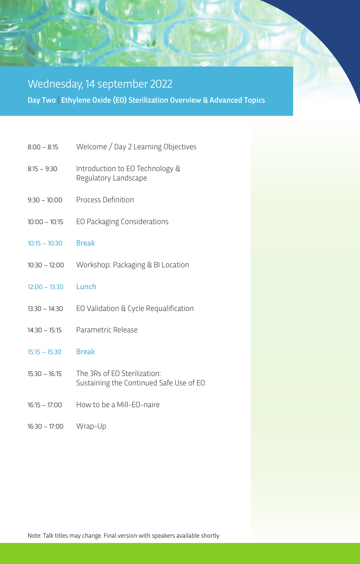### Day Two | Ethylene Oxide (EO) Sterilization Overview & Advanced Topics | Wednesday, 14 september 2022

- 8:00 8:15 Welcome / Day 2 Learning Objectives
- 8:15 9:30 Introduction to EO Technology & Regulatory Landscape
- 9:30 10:00 Process Definition
- 10:00 10:15 EO Packaging Considerations
- 10:15 10:30 Break
- 10:30 12:00 Workshop: Packaging & BI Location
- 12:00 13:30 Lunch
- 13:30 14:30 EO Validation & Cycle Requalification
- 14:30 15:15 Parametric Release
- 15:15 15:30 Break
- 15:30 16:15 The 3Rs of EO Sterilization: Sustaining the Continued Safe Use of EO
- 16:15 17:00 How to be a Mill-EO-naire
- 16:30 17:00 Wrap-Up